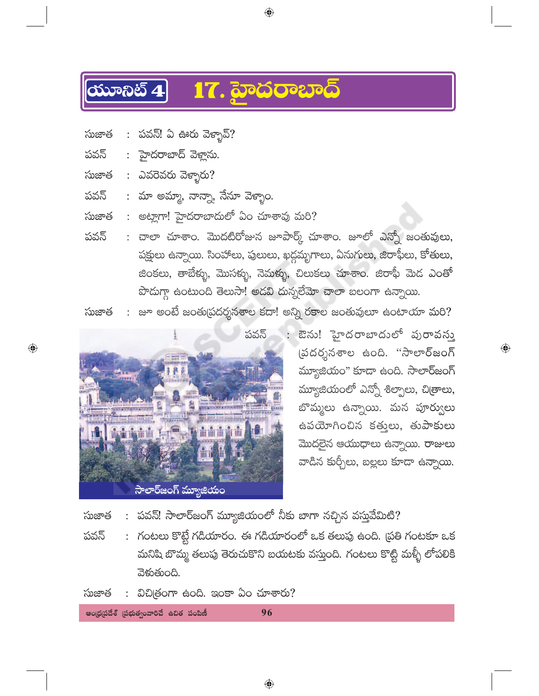## 17. హైదరాబాద్  $\overline{\text{Cov}}$

- : పవన్! ఏ ఊరు వెక్నావ్? సుజాత
- : హైదరాబాద్ వెళ్లాను. పవన్
- : ఎవరెవరు వెళ్ళారు? సుజాత

 $\bigoplus$ 

- : మా అమ్మా, నాన్నా, నేనూ వెళ్ళాం. పవన్
- : అట్లాగా! హైదరాబాదులో ఏం చూశావు మరి? సుజాత
- : చాలా చూశాం. మొదటిరోజున జూపార్క్ చూశాం. జూలో ఎన్నో జంతువులు, పవన్ పక్షులు ఉన్నాయి. సింహాలు, పులులు, ఖద్గమృగాలు, ఏనుగులు, జిరాఫీలు, కోతులు, జింకలు, తాబేళ్ళు, మొసళ్ళు, నెమళ్ళు, చిలుకలు చూశాం. జిరాఫీ మెద ఎంతో పొదుగ్గా ఉంటుంది తెలుసా! అడవి దున్నలేమో చాలా బలంగా ఉన్నాయి.

 $\bigoplus$ 

: జూ అంటే జంతుప్రదర్శనశాల కదా! అన్ని రకాల జంతువులూ ఉంటాయా మరి? సుజాత



: ఔను! హైదరాబాదులో పురావస్తు .<br>ప్రదర్శనశాల ఉంది. "సాలార్జంగ్ మ్యూజియం" కూడా ఉంది. సాలార్జంగ్ మ్యూజియంలో ఎన్నో శిల్పాలు, చి[తాలు, బొమ్మలు ఉన్నాయి. మన పూర్వులు ఉపయోగించిన కత్తులు, తుపాకులు మొదలైన ఆయుధాలు ఉన్నాయి. రాజులు వాడిన కుర్చీలు, బల్లలు కూడా ఉన్నాయి.

 $\bigoplus$ 

: పవన్! సాలార్జంగ్ మ్యూజియంలో నీకు బాగా నచ్చిన వస్తువేమిటి? సుజాత

: గంటలు కొట్టే గడియారం. ఈ గడియారంలో ఒక తలుపు ఉంది. (పతి గంటకూ ఒక పవన్ మనిషి బొమ్మ తలుపు తెరుచుకొని బయటకు వస్తుంది. గంటలు కొట్టి మళ్ళీ లోపలికి వెళుతుంది.

96

: విచిత్రంగా ఉంది. ఇంకా ఏం చూశారు? సుజాత

ఆంధ్రప్రదేశ్ (పభుత్వంవారిచే ఉచిత పంపిణీ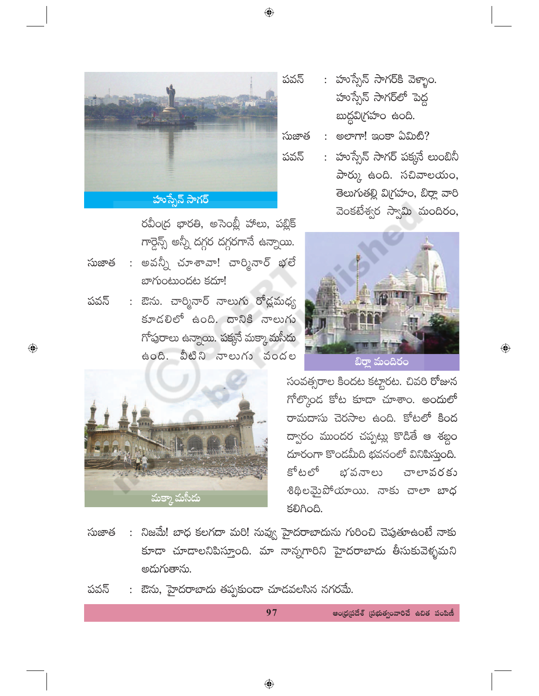$\bigoplus$ 



రవీంద్ర భారతి, అసెంబ్లీ హాలు, పబ్లిక్ గార్దెన్స్ అన్నీ దగ్గర దగ్గరగానే ఉన్నాయి.

- : అవన్నీ చూశావా! చార్మినార్ భలే సుజాత బాగుంటుందట కదూ!
- : ఔను. చార్మినార్ నాలు<mark>గు ర</mark>ోడ్లమధ్య పవన్ కూడలిలో ఉంది. దానికి నాలుగు గోపురాలు ఉన్నాయి. పక్కసే మక్కా మసీదు ఉంది. వీటిని నాలుగు వందల
- మక్కా మసీ<mark>దు</mark>

 $\bigoplus$ 

- : హుస్సేన్ సాగర్కి వెళ్ళాం. పవన్ హుస్సేన్ సాగర్లో పెద్ద బుద్దవిగ్రహం ఉంది.
- : అలాగా! ఇంకా ఏమిటి? సుజాత
	- : హుస్సేన్ సాగర్ పక్కనే లుంబినీ పార్కు ఉంది. సచివాలయం, తెలుగుతల్లి విగ్రహం, బిర్లా వారి వెంకటేశ్వర స్వామి మందిరం,



 $\bigoplus$ 

సంవత్సరాల కిందట కట్టారట. చివరి రోజున గోల్కొండ కోట కూడా చూశాం. అందులో రామదాసు చెరసాల ఉంది. కోటలో కింద ద్వారం ముందర చప్పట్లు కొడితే ఆ శబ్దం దూరంగా కొండమీది భవనంలో వినిపిస్తుంది. కోటలో భవనాలు చాలావరకు శిథిలమైపోయాయి. నాకు చాలా బాధ **SOAOG.** 

- : నిజమే! బాధ కలగదా మరి! నువ్వ హైదరాబాదును గురించి చెపుతూఉంటే నాకు సుజాత కూడా చూడాలనిపిస్తూంది. మా నాన్నగారిని హైదరాబాదు తీసుకువెళ్ళమని అదుగుతాను.
- : ఔను, హైదరాబాదు తప్పకుండా చూడవలసిన నగరమే. పవన్

97

ఆంధ్రప్రదేశ్ (పభుత్వంవారిచే ఉచిత పంపిణీ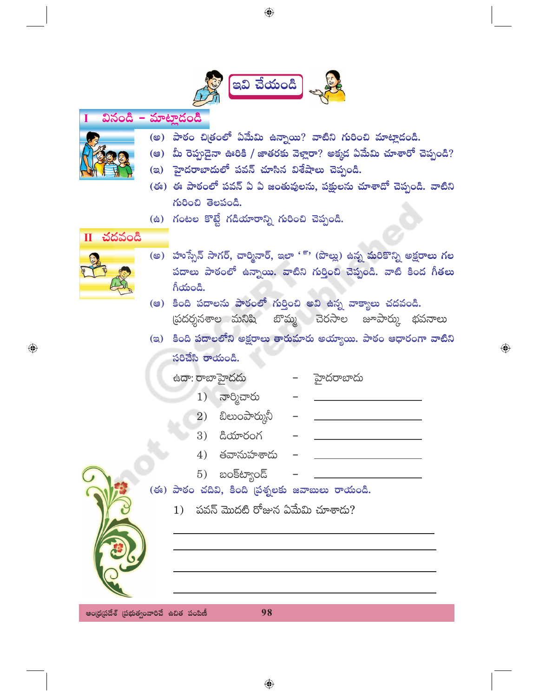

 $\bigoplus$ 

## వినండి – మాట్లాడండి

- 
- (అ) పాఠం చిత్రంలో ఏమేమి ఉన్నాయి? వాటిని గురించి మాట్లాడండి.
- (అ) మీ రెప్పదైనా ఊరికి / జాతరకు వెళ్లారా? అక్మడ ఏమేమి చూశారో చెప్పండి?
- (ఇ) హైదరాబాదులో పవన్ చూసిన విశేషాలు చెప్పండి.
- (ఈ) ఈ పాఠంలో పవన్ ఏ ఏ జంతువులను, పక్షులను చూశాదో చెప్పండి. వాటిని గురించి తెలపండి.
- (ఉ) గంటల కొట్టే గడియారాన్ని గురించి చెప్పండి.

## $II$  చదవండి



 $\bigoplus$ 

- (అ) హుస్సేన్ సాగర్, చార్మినార్, ఇలా '్' (పొల్లు) ఉన్న మరికొన్ని అక్షరాలు గల పదాలు పాఠంలో ఉన్నాయి. వాటిని గుర్తించి చెప్పండి. వాటి కింద గీతలు గీయండి.
- (ఆ) కింది పదాలను పాఠంలో గుర్తించి అవి ఉన్న వాక్యాలు చదవండి. స్రదర్శనశాల మనిషి బొమ్మ చెరసాల జూపార్కు భవనాలు
- (ఇ) కింది పదాలలోని అక్షరాలు తారుమారు అయ్యాయి. పాఠం ఆధారంగా వాటిని సరిచేసి రాయండి.

 $\bigoplus$ 

|  |  | ఉదా: రాబాహైదదు                                  | హైదరాబాదు |
|--|--|-------------------------------------------------|-----------|
|  |  | 1) నార్మిచారు                                   |           |
|  |  | $2)$ బిలుంపార్మునీ                              |           |
|  |  | $3)$ $a$ యారంగ                                  |           |
|  |  | 4) తవానుహశాదు                                   |           |
|  |  | $(5)$ బంక్ట్యాండ్                               |           |
|  |  | (ఈ) పాఠం చదివి, కింది ప్రశ్నలకు జవాబులు రాయండి. |           |
|  |  | 1)    పవన్ మొదటి రోజున ఏమేమి చూశాదు?            |           |
|  |  |                                                 |           |
|  |  |                                                 |           |
|  |  |                                                 |           |

ఆంధ్రప్రదేశ్ (పభుత్వంవారిచే ఉచిత పంపిణీ

98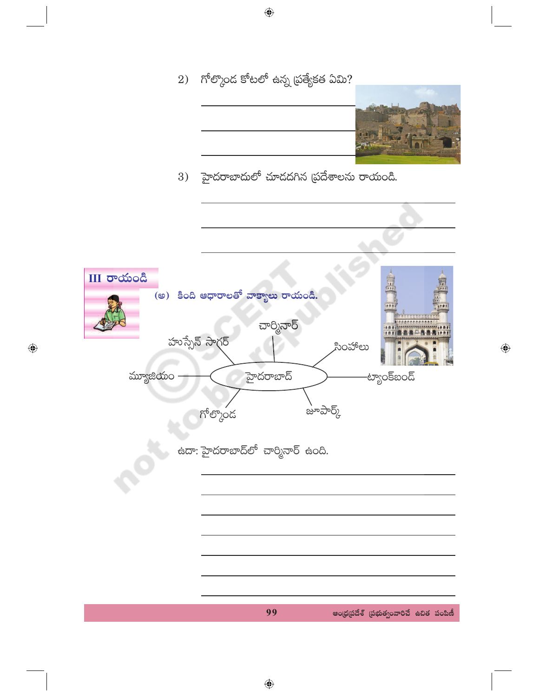2) గోల్కొంద కోటలో ఉన్న ప్రత్యేకత ఏమి?



 $\bigoplus$ 

3) హైదరాబాదులో చూడదగిన (పదేశాలను రాయండి.



 $\bigodot$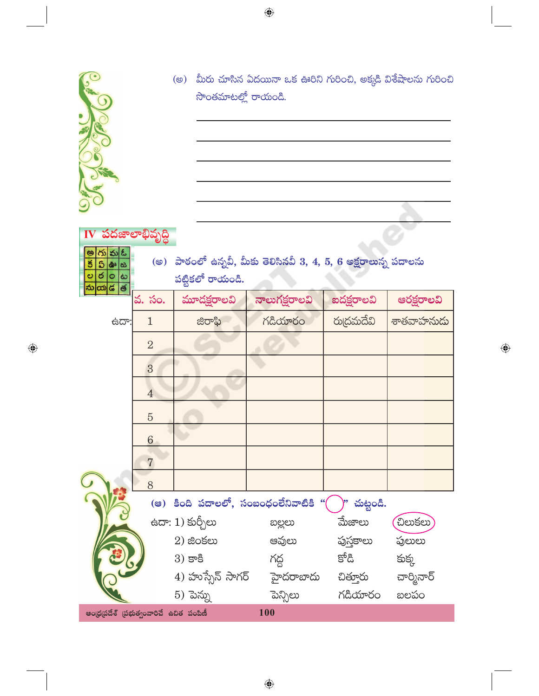

 $\bf{IV}$  పదజాలాభివృద్ధి

<u>అగుమఓ</u><br><u>క ఏ ఊ జ</u><br>ల ర ౦ ట

 $\bigoplus$ 

(అ) మీరు చూసిన ఏదయినా ఒక ఊరిని గురించి, అక్కడి విశేషాలను గురించి సొంతమాటల్లో రాయండి.

(అ) పాఠంలో ఉన్నవీ, మీకు తెలిసినవీ 3, 4, 5, 6 అక్షరాలున్న పదాలను  $\frac{1}{2}$ పట్టికలో రాయండి.

 $\bigoplus$ 

| 2014 - 5. 30.                                  |                                                       | మూదక్షరాలవి      | నాలుగక్షరాలవి                                     | ఐదక్షరాలవి | ఆరక్షరాలవి   |  |  |  |
|------------------------------------------------|-------------------------------------------------------|------------------|---------------------------------------------------|------------|--------------|--|--|--|
| ಕದ್:                                           | $\mathbf{1}$                                          | ಜಿರಾಫಿ           | గడియారం                                           | రుద్రమదేవి | శాతవాహనుదు   |  |  |  |
|                                                | $\overline{2}$                                        |                  |                                                   |            |              |  |  |  |
|                                                | 3                                                     |                  |                                                   |            |              |  |  |  |
|                                                | $\overline{4}$                                        |                  |                                                   |            |              |  |  |  |
|                                                | $\overline{5}$                                        |                  |                                                   |            |              |  |  |  |
|                                                | $6\phantom{.}6$                                       |                  |                                                   |            |              |  |  |  |
|                                                | $\overline{7}$                                        |                  |                                                   |            |              |  |  |  |
|                                                | 8                                                     |                  |                                                   |            |              |  |  |  |
|                                                | (ෂ) కింది పదాలలో, సంబంధంలేనివాటికి "(<br>)" చుట్టండి. |                  |                                                   |            |              |  |  |  |
|                                                |                                                       | ఉదా: 1) కుర్చీలు | ಐಲ್ಲಲು                                            | మేజాలు     | <b>ඩ</b> හඡහ |  |  |  |
|                                                |                                                       | $2)$ జింకలు      | ఆవులు                                             | పుస్తకాలు  | పులులు       |  |  |  |
|                                                |                                                       | $3)$ కాకి        | గద్ద                                              | కోడి       | కుక్క        |  |  |  |
|                                                |                                                       |                  | 4) హుస్సేన్ సాగర్ స్టాదరాబాదు చిత్తూరు చార్మినార్ |            |              |  |  |  |
|                                                |                                                       | 5) పెన్ను        | పెన్సిలు                                          | గడియారం    | బలపం         |  |  |  |
| 100<br>ఆంధ్రప్రదేశ్ (పభుత్వంవారిచే ఉచిత పంపిణీ |                                                       |                  |                                                   |            |              |  |  |  |

 $\bigoplus$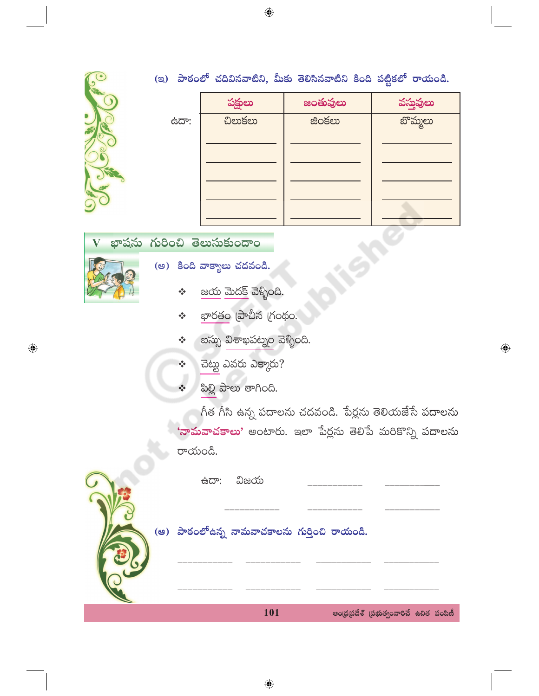



|     | పక్షులు       | జంతువులు      | వస్తువులు            |
|-----|---------------|---------------|----------------------|
| ಿದಾ | <b>Devser</b> | <b>జింకలు</b> | <mark>బొమ్మలు</mark> |
|     |               |               |                      |
|     |               |               |                      |
|     |               |               |                      |
|     |               |               |                      |
|     |               |               |                      |

(ఇ) పాఠంలో చదివినవాటిని, మీకు తెలిసినవాటిని కింది పట్టికలో రాయండి.

భాషను గురించి తెలుసుకుందాం  $\boldsymbol{\mathrm{V}}$ 



 $\bigoplus$ 

- (అ) కింది వాక్యాలు చదవండి.
	- $\underline{\text{av}}$   $\underline{\text{av}}$   $\underline{\text{v}}$   $\underline{\text{v}}$   $\underline{\text{v}}$   $\underline{\text{v}}$   $\underline{\text{v}}$   $\underline{\text{v}}$ ÷
	- $\frac{\text{18}}{\text{18}}$ లాబీన గ్రంథం.  $\frac{1}{2}$
	- బస్సు విశాఖపట్నం వెళ్ళింది.  $\frac{1}{2}$
	- చెట్టు ఎవరు ఎక్కారు?
	- ಪಿಲ್ಲಿ పాలు తాగింది.

గీత గీసి ఉన్న పదాలను చదవండి. పేర్లను తెలియజేసే పదాలను <mark>'నామవాచకాలు'</mark> అంటారు. ఇలా పేర్లను తెలిపే మరికొన్ని పదాలను రాయండి.

|  | க்ದ್: ವಿಜಯ                                    |                                         |  |
|--|-----------------------------------------------|-----------------------------------------|--|
|  | (ఆ) పాఠంలో ఉన్న నామవాచకాలను గుర్తించి రాయండి. |                                         |  |
|  | 101                                           | ఆంధ్రప్రదేశ్ (పభుత్వంవారిచే ఉచిత పంపిణీ |  |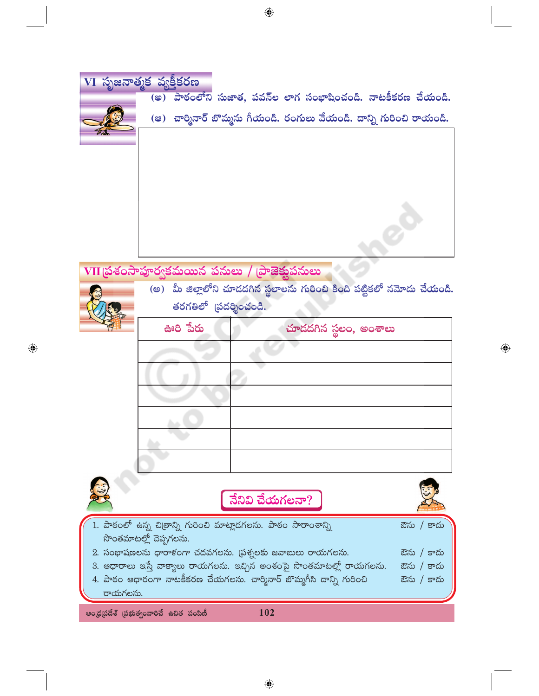|         | $\overline{\text{VI}}$ సృజనాత్మక వ్యక్తీకరణ                             |            |
|---------|-------------------------------------------------------------------------|------------|
|         | పాఠంలోని సుజాత, పవన్ల లాగ సంభాషించండి. నాటకీకరణ చేయండి.<br>(ෂ)          |            |
|         | (ఆ)  చార్మినార్ బొమ్మను గీయండి. రంగులు వేయండి. దాన్ని గురించి రాయండి.   |            |
|         |                                                                         |            |
|         |                                                                         |            |
|         |                                                                         |            |
|         |                                                                         |            |
|         |                                                                         |            |
|         |                                                                         |            |
|         |                                                                         |            |
|         |                                                                         |            |
|         |                                                                         |            |
|         | VII ప్రశంసాపూర్వకమయిన పనులు / (పాజెక్షుపనులు                            |            |
|         | (అ) మీ జిల్లాలోని చూడదగిన స్థలాలను గురించి కింది పట్టికలో నమోదు చేయండి. |            |
|         | తరగతిలో (పదర్శించండి.                                                   |            |
|         | ఊరి పేరు<br>చూదదగిన స్థలం, అంశాలు                                       |            |
|         |                                                                         |            |
|         |                                                                         |            |
|         |                                                                         |            |
|         |                                                                         |            |
|         |                                                                         |            |
|         |                                                                         |            |
|         |                                                                         |            |
|         |                                                                         |            |
|         |                                                                         |            |
|         |                                                                         |            |
|         | నేనివి చేయగలనా?                                                         |            |
|         | 1. పాఠంలో ఉన్న చిత్రాన్ని గురించి మాట్లాడగలను. పాఠం సారాంశాన్ని         |            |
|         | సొంతమాటల్లో చెప్పగలను.                                                  | ఔను / కాదు |
|         | 2. సంభాషణలను ధారాళంగా చదవగలను. (పశ్నలకు జవాబులు రాయగలను.                | ఔను / కాదు |
|         | 3. ఆధారాలు ఇస్తే వాక్యాలు రాయగలను. ఇచ్చిన అంశంపై సొంతమాటల్లో రాయగలను.   | ఔను / కాదు |
|         | 4. పాఠం ఆధారంగా నాటకీకరణ చేయగలను. చార్మినార్ బొమ్మగీసి దాన్ని గురించి   | ఔను / కాదు |
| గాయగలపు |                                                                         |            |

 $\bigoplus$ 

 $\bigoplus$ 

ఆంధ్రప్రదేశ్ (పభుత్వంవారిచే ఉచిత పంపిణీ

 $\bigoplus$ 

 $102$